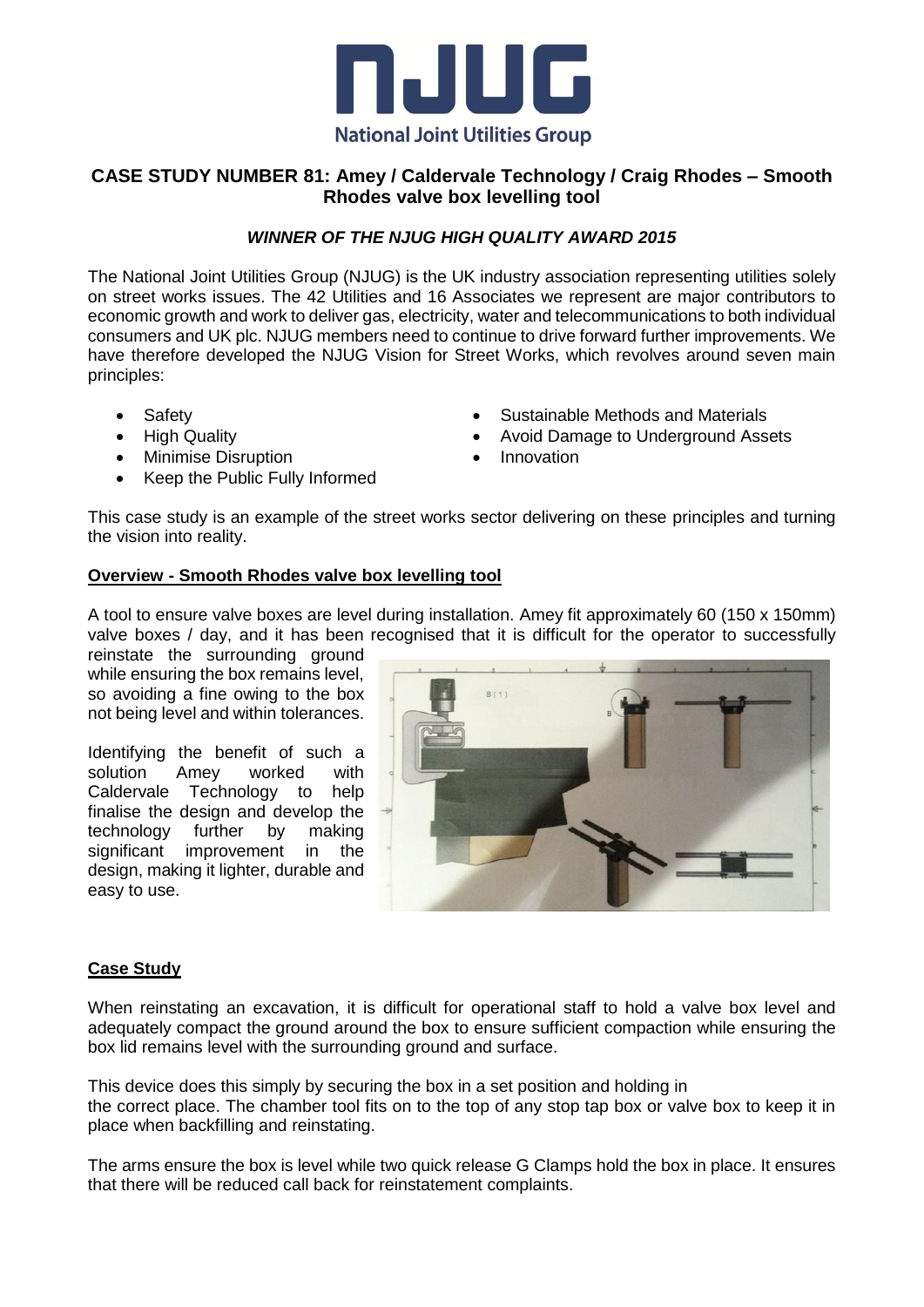

# **CASE STUDY NUMBER 81: Amey / Caldervale Technology / Craig Rhodes – Smooth Rhodes valve box levelling tool**

## *WINNER OF THE NJUG HIGH QUALITY AWARD 2015*

The National Joint Utilities Group (NJUG) is the UK industry association representing utilities solely on street works issues. The 42 Utilities and 16 Associates we represent are major contributors to economic growth and work to deliver gas, electricity, water and telecommunications to both individual consumers and UK plc. NJUG members need to continue to drive forward further improvements. We have therefore developed the NJUG Vision for Street Works, which revolves around seven main principles:

- Safety
- High Quality
- Minimise Disruption
- Keep the Public Fully Informed
- Sustainable Methods and Materials
- Avoid Damage to Underground Assets
- Innovation

This case study is an example of the street works sector delivering on these principles and turning the vision into reality.

### **Overview - Smooth Rhodes valve box levelling tool**

A tool to ensure valve boxes are level during installation. Amey fit approximately 60 (150 x 150mm) valve boxes / day, and it has been recognised that it is difficult for the operator to successfully

reinstate the surrounding ground while ensuring the box remains level, so avoiding a fine owing to the box not being level and within tolerances.

Identifying the benefit of such a solution Amey worked with Caldervale Technology to help finalise the design and develop the technology further by making significant improvement in the design, making it lighter, durable and easy to use.



### **Case Study**

When reinstating an excavation, it is difficult for operational staff to hold a valve box level and adequately compact the ground around the box to ensure sufficient compaction while ensuring the box lid remains level with the surrounding ground and surface.

This device does this simply by securing the box in a set position and holding in the correct place. The chamber tool fits on to the top of any stop tap box or valve box to keep it in place when backfilling and reinstating.

The arms ensure the box is level while two quick release G Clamps hold the box in place. It ensures that there will be reduced call back for reinstatement complaints.